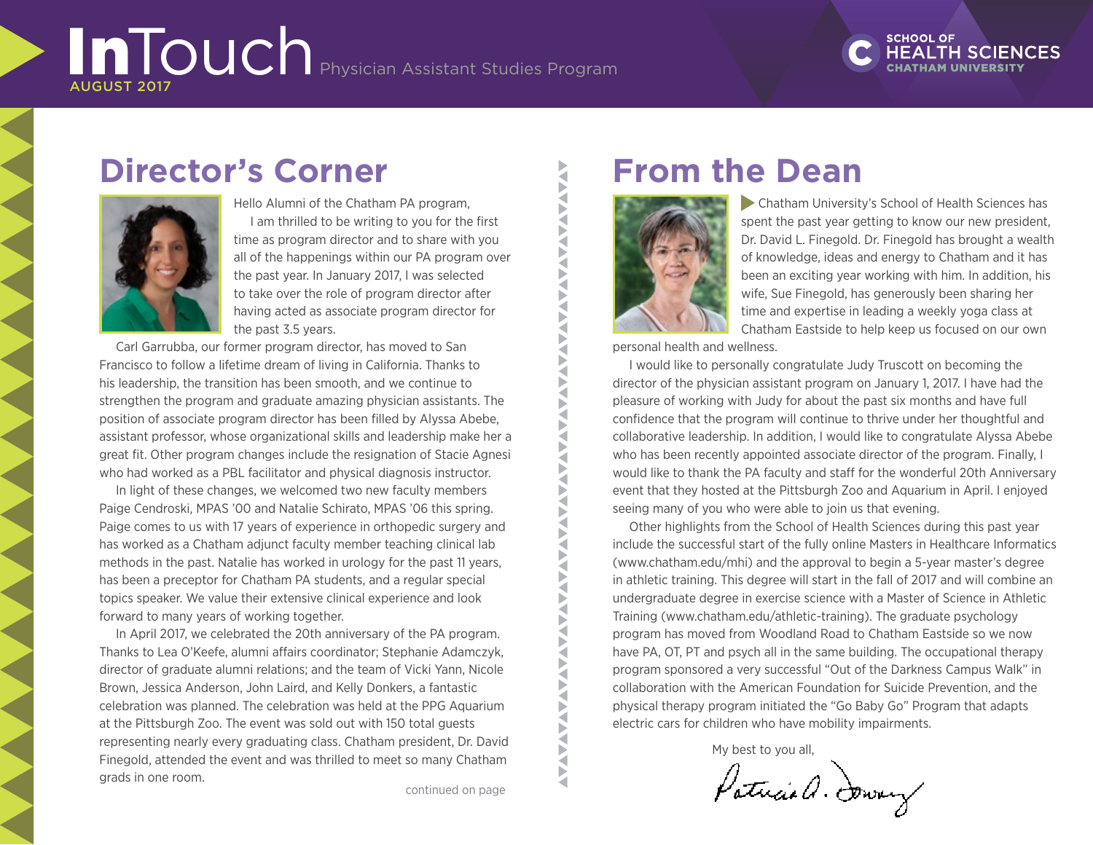# InTouch Physician Assistant Studies Program AUGUST 2017

# **SCHOOL OF**

# **Director's Corner**



Hello Alumni of the Chatham PA program, I am thrilled to be writing to you for the first time as program director and to share with you all of the happenings within our PA program over the past year. In January 2017, I was selected to take over the role of program director after having acted as associate program director for the past 3.5 years.

Carl Garrubba, our former program director, has moved to San Francisco to follow a lifetime dream of living in California. Thanks to his leadership, the transition has been smooth, and we continue to strengthen the program and graduate amazing physician assistants. The position of associate program director has been filled by Alyssa Abebe, assistant professor, whose organizational skills and leadership make her a great fit. Other program changes include the resignation of Stacie Agnesi who had worked as a PBL facilitator and physical diagnosis instructor.

In light of these changes, we welcomed two new faculty members Paige Cendroski, MPAS '00 and Natalie Schirato, MPAS '06 this spring. Paige comes to us with 17 years of experience in orthopedic surgery and has worked as a Chatham adjunct faculty member teaching clinical lab methods in the past. Natalie has worked in urology for the past 11 years, has been a preceptor for Chatham PA students, and a regular special topics speaker. We value their extensive clinical experience and look forward to many years of working together.

In April 2017, we celebrated the 20th anniversary of the PA program. Thanks to Lea O'Keefe, alumni affairs coordinator; Stephanie Adamczyk, director of graduate alumni relations; and the team of Vicki Yann, Nicole Brown, Jessica Anderson, John Laird, and Kelly Donkers, a fantastic celebration was planned. The celebration was held at the PPG Aquarium at the Pittsburgh Zoo. The event was sold out with 150 total guests representing nearly every graduating class. Chatham president, Dr. David Finegold, attended the event and was thrilled to meet so many Chatham grads in one room.

**AVA VANAVANAV NAV** € Š E<br>E ₹ ◀ à

ь ∢ Б

> ₹ ◀

a Þ ₹ ◀ E<br>E Þ ₹

**AVAILABLE** 

**AN** 

# **From the Dean**



 Chatham University's School of Health Sciences has spent the past year getting to know our new president, Dr. David L. Finegold. Dr. Finegold has brought a wealth of knowledge, ideas and energy to Chatham and it has been an exciting year working with him. In addition, his wife, Sue Finegold, has generously been sharing her time and expertise in leading a weekly yoga class at Chatham Eastside to help keep us focused on our own

personal health and wellness.

I would like to personally congratulate Judy Truscott on becoming the director of the physician assistant program on January 1, 2017. I have had the pleasure of working with Judy for about the past six months and have full confidence that the program will continue to thrive under her thoughtful and collaborative leadership. In addition, I would like to congratulate Alyssa Abebe who has been recently appointed associate director of the program. Finally, I would like to thank the PA faculty and staff for the wonderful 20th Anniversary event that they hosted at the Pittsburgh Zoo and Aquarium in April. I enjoyed seeing many of you who were able to join us that evening.

Other highlights from the School of Health Sciences during this past year include the successful start of the fully online Masters in Healthcare Informatics ([www.chatham.edu/mhi\)](https://www.chatham.edu/mhi/)) and the approval to begin a 5-year master's degree in athletic training. This degree will start in the fall of 2017 and will combine an undergraduate degree in exercise science with a Master of Science in Athletic Training [\(www.chatham.edu/athletic-training\)](https://www.chatham.edu/athletic-training/)). The graduate psychology program has moved from Woodland Road to Chatham Eastside so we now have PA, OT, PT and psych all in the same building. The occupational therapy program sponsored a very successful "Out of the Darkness Campus Walk" in collaboration with the American Foundation for Suicide Prevention, and the physical therapy program initiated the "Go Baby Go" Program that adapts electric cars for children who have mobility impairments.

My best to you all,

Patricia a. Dowery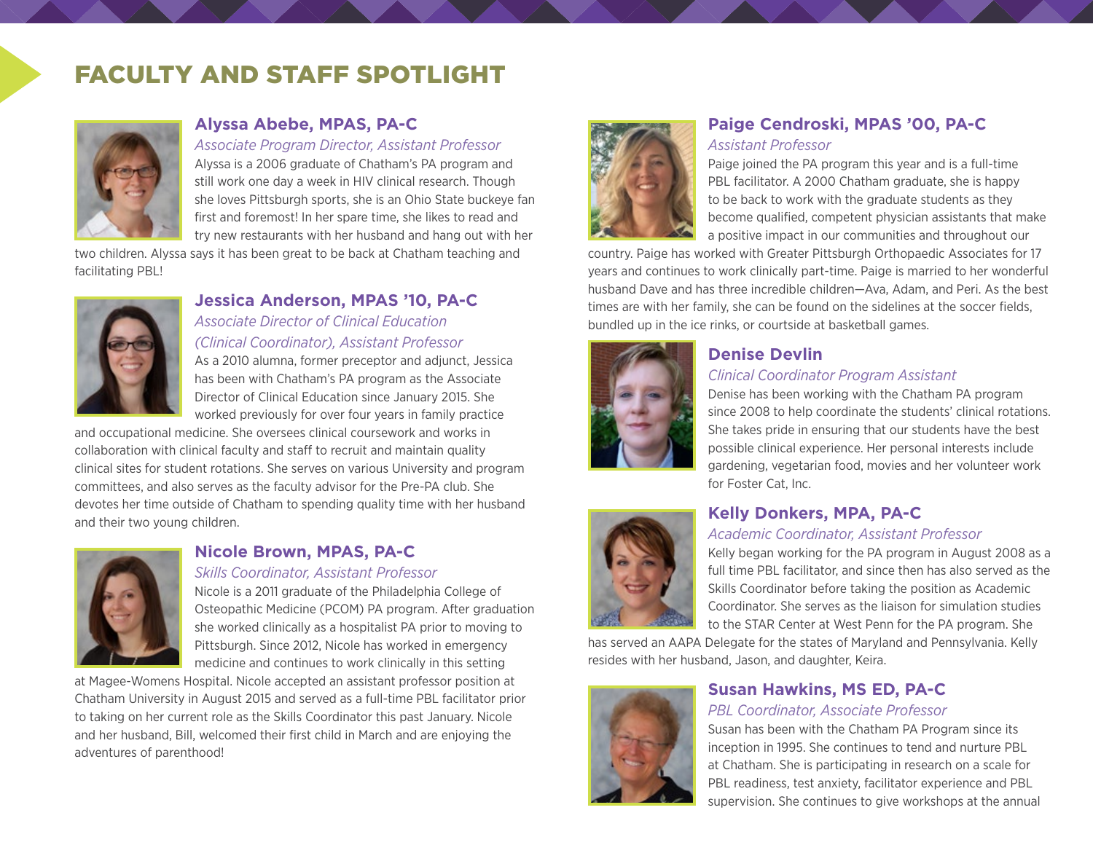# FACULTY AND STAFF SPOTLIGHT



### **Alyssa Abebe, MPAS, PA-C**

#### *Associate Program Director, Assistant Professor*

Alyssa is a 2006 graduate of Chatham's PA program and still work one day a week in HIV clinical research. Though she loves Pittsburgh sports, she is an Ohio State buckeye fan first and foremost! In her spare time, she likes to read and try new restaurants with her husband and hang out with her

two children. Alyssa says it has been great to be back at Chatham teaching and facilitating PBL!



### **Jessica Anderson, MPAS '10, PA-C**

*Associate Director of Clinical Education (Clinical Coordinator), Assistant Professor*

As a 2010 alumna, former preceptor and adjunct, Jessica has been with Chatham's PA program as the Associate Director of Clinical Education since January 2015. She worked previously for over four years in family practice

and occupational medicine. She oversees clinical coursework and works in collaboration with clinical faculty and staff to recruit and maintain quality clinical sites for student rotations. She serves on various University and program committees, and also serves as the faculty advisor for the Pre-PA club. She devotes her time outside of Chatham to spending quality time with her husband and their two young children.



### **Nicole Brown, MPAS, PA-C**

#### *Skills Coordinator, Assistant Professor*

Nicole is a 2011 graduate of the Philadelphia College of Osteopathic Medicine (PCOM) PA program. After graduation she worked clinically as a hospitalist PA prior to moving to Pittsburgh. Since 2012, Nicole has worked in emergency medicine and continues to work clinically in this setting

at Magee-Womens Hospital. Nicole accepted an assistant professor position at Chatham University in August 2015 and served as a full-time PBL facilitator prior to taking on her current role as the Skills Coordinator this past January. Nicole and her husband, Bill, welcomed their first child in March and are enjoying the adventures of parenthood!



### **Paige Cendroski, MPAS '00, PA-C** *Assistant Professor*

Paige joined the PA program this year and is a full-time PBL facilitator. A 2000 Chatham graduate, she is happy to be back to work with the graduate students as they become qualified, competent physician assistants that make a positive impact in our communities and throughout our

country. Paige has worked with Greater Pittsburgh Orthopaedic Associates for 17 years and continues to work clinically part-time. Paige is married to her wonderful husband Dave and has three incredible children—Ava, Adam, and Peri. As the best times are with her family, she can be found on the sidelines at the soccer fields, bundled up in the ice rinks, or courtside at basketball games.



### **Denise Devlin**

#### *Clinical Coordinator Program Assistant*

Denise has been working with the Chatham PA program since 2008 to help coordinate the students' clinical rotations. She takes pride in ensuring that our students have the best possible clinical experience. Her personal interests include gardening, vegetarian food, movies and her volunteer work for Foster Cat, Inc.



### **Kelly Donkers, MPA, PA-C**

#### *Academic Coordinator, Assistant Professor*

Kelly began working for the PA program in August 2008 as a full time PBL facilitator, and since then has also served as the Skills Coordinator before taking the position as Academic Coordinator. She serves as the liaison for simulation studies to the STAR Center at West Penn for the PA program. She

has served an AAPA Delegate for the states of Maryland and Pennsylvania. Kelly resides with her husband, Jason, and daughter, Keira.

# **Susan Hawkins, MS ED, PA-C**

#### *PBL Coordinator, Associate Professor*

Susan has been with the Chatham PA Program since its inception in 1995. She continues to tend and nurture PBL at Chatham. She is participating in research on a scale for PBL readiness, test anxiety, facilitator experience and PBL supervision. She continues to give workshops at the annual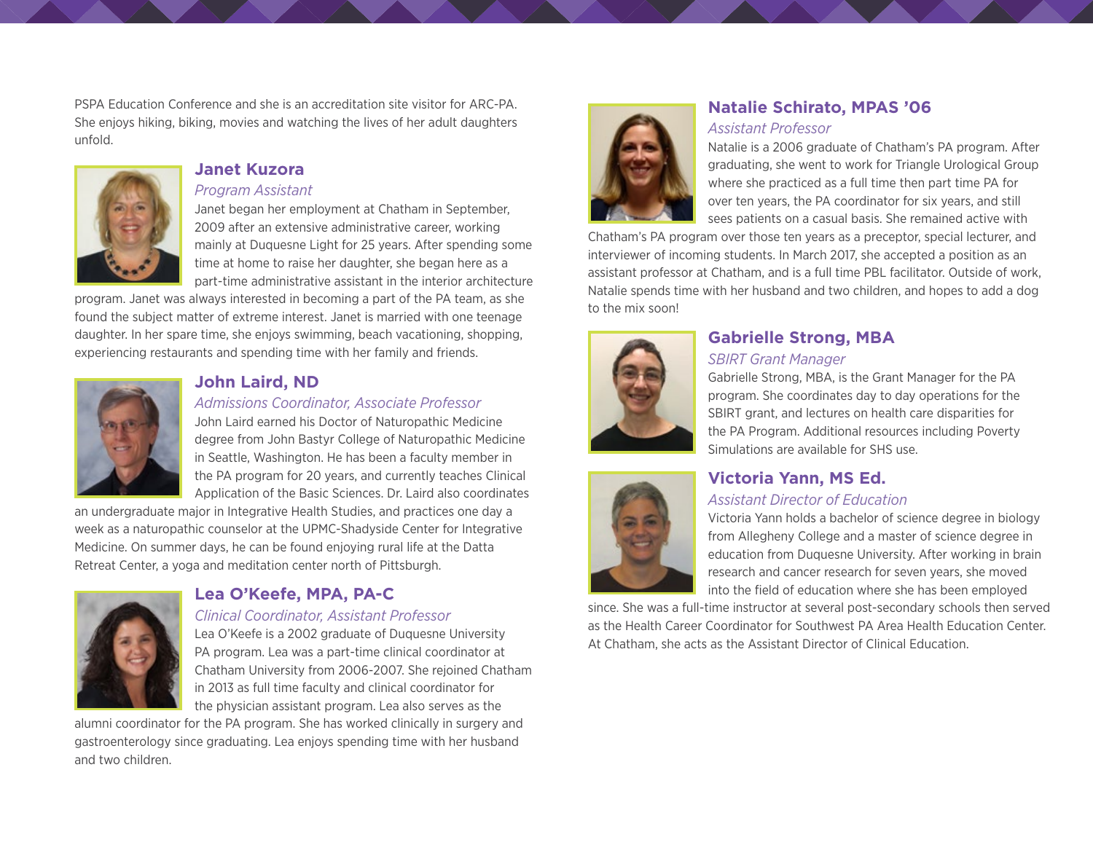PSPA Education Conference and she is an accreditation site visitor for ARC-PA. She enjoys hiking, biking, movies and watching the lives of her adult daughters unfold.



#### **Janet Kuzora**

#### *Program Assistant*

Janet began her employment at Chatham in September, 2009 after an extensive administrative career, working mainly at Duquesne Light for 25 years. After spending some time at home to raise her daughter, she began here as a part-time administrative assistant in the interior architecture

program. Janet was always interested in becoming a part of the PA team, as she found the subject matter of extreme interest. Janet is married with one teenage daughter. In her spare time, she enjoys swimming, beach vacationing, shopping, experiencing restaurants and spending time with her family and friends.



### **John Laird, ND**

#### *Admissions Coordinator, Associate Professor*

John Laird earned his Doctor of Naturopathic Medicine degree from John Bastyr College of Naturopathic Medicine in Seattle, Washington. He has been a faculty member in the PA program for 20 years, and currently teaches Clinical Application of the Basic Sciences. Dr. Laird also coordinates

an undergraduate major in Integrative Health Studies, and practices one day a week as a naturopathic counselor at the UPMC-Shadyside Center for Integrative Medicine. On summer days, he can be found enjoying rural life at the Datta Retreat Center, a yoga and meditation center north of Pittsburgh.



#### **Lea O'Keefe, MPA, PA-C**

#### *Clinical Coordinator, Assistant Professor*

Lea O'Keefe is a 2002 graduate of Duquesne University PA program. Lea was a part-time clinical coordinator at Chatham University from 2006-2007. She rejoined Chatham in 2013 as full time faculty and clinical coordinator for the physician assistant program. Lea also serves as the

alumni coordinator for the PA program. She has worked clinically in surgery and gastroenterology since graduating. Lea enjoys spending time with her husband and two children.



### **Natalie Schirato, MPAS '06**  *Assistant Professor*

Natalie is a 2006 graduate of Chatham's PA program. After graduating, she went to work for Triangle Urological Group where she practiced as a full time then part time PA for over ten years, the PA coordinator for six years, and still sees patients on a casual basis. She remained active with

Chatham's PA program over those ten years as a preceptor, special lecturer, and interviewer of incoming students. In March 2017, she accepted a position as an assistant professor at Chatham, and is a full time PBL facilitator. Outside of work, Natalie spends time with her husband and two children, and hopes to add a dog to the mix soon!



## **Gabrielle Strong, MBA**

#### *SBIRT Grant Manager*

Gabrielle Strong, MBA, is the Grant Manager for the PA program. She coordinates day to day operations for the SBIRT grant, and lectures on health care disparities for the PA Program. Additional resources including Poverty Simulations are available for SHS use.



# **Victoria Yann, MS Ed.**

#### *Assistant Director of Education*

Victoria Yann holds a bachelor of science degree in biology from Allegheny College and a master of science degree in education from Duquesne University. After working in brain research and cancer research for seven years, she moved into the field of education where she has been employed

since. She was a full-time instructor at several post-secondary schools then served as the Health Career Coordinator for Southwest PA Area Health Education Center. At Chatham, she acts as the Assistant Director of Clinical Education.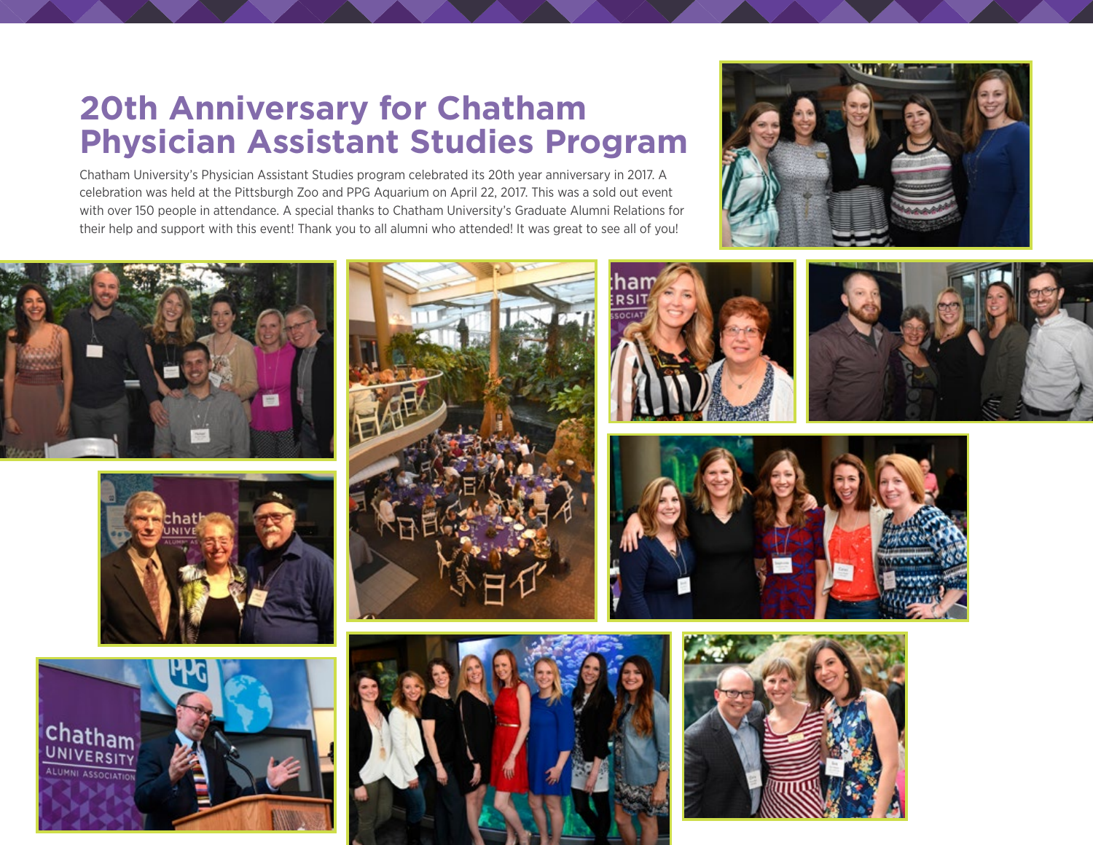# **20th Anniversary for Chatham Physician Assistant Studies Program**

Chatham University's Physician Assistant Studies program celebrated its 20th year anniversary in 2017. A celebration was held at the Pittsburgh Zoo and PPG Aquarium on April 22, 2017. This was a sold out event with over 150 people in attendance. A special thanks to Chatham University's Graduate Alumni Relations for their help and support with this event! Thank you to all alumni who attended! It was great to see all of you!



















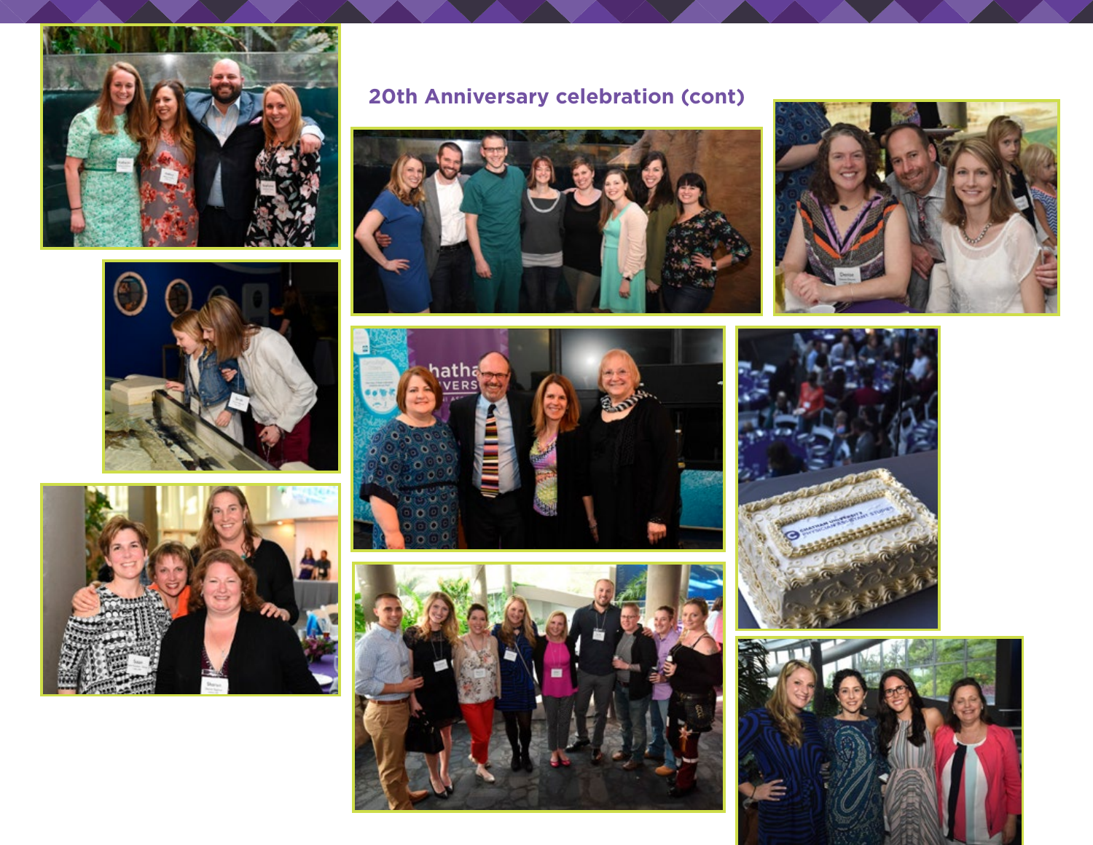





# **20th Anniversary celebration (cont)**











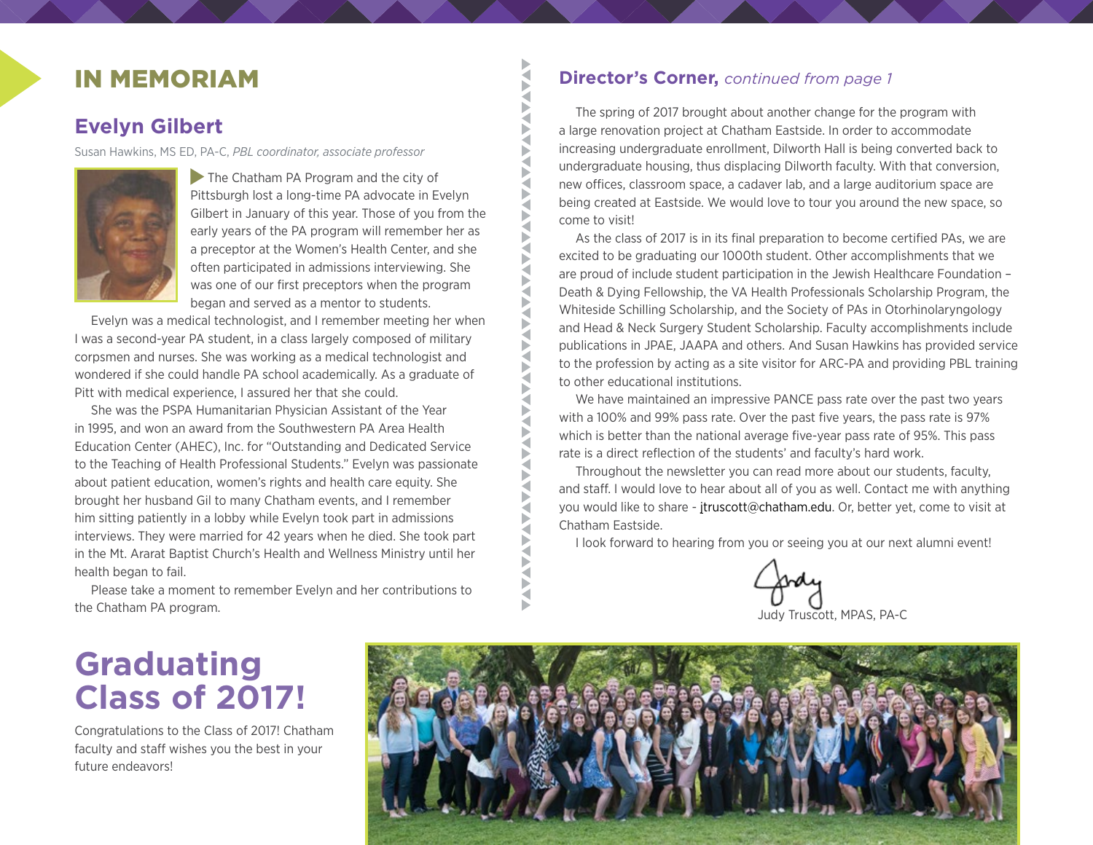# IN MEMORIAM

## **Evelyn Gilbert**

Susan Hawkins, MS ED, PA-C, *PBL coordinator, associate professor*



The Chatham PA Program and the city of Pittsburgh lost a long-time PA advocate in Evelyn Gilbert in January of this year. Those of you from the early years of the PA program will remember her as a preceptor at the Women's Health Center, and she often participated in admissions interviewing. She was one of our first preceptors when the program began and served as a mentor to students.

₹ ◀ Þ E **AN** 

**ANAVA** 

₹ E Ε ◀ Þ ₹ Б ₹ E ◀ ◀ ₹ ◀ ₹

Evelyn was a medical technologist, and I remember meeting her when I was a second-year PA student, in a class largely composed of military corpsmen and nurses. She was working as a medical technologist and wondered if she could handle PA school academically. As a graduate of Pitt with medical experience, I assured her that she could.

She was the PSPA Humanitarian Physician Assistant of the Year in 1995, and won an award from the Southwestern PA Area Health Education Center (AHEC), Inc. for "Outstanding and Dedicated Service to the Teaching of Health Professional Students." Evelyn was passionate about patient education, women's rights and health care equity. She brought her husband Gil to many Chatham events, and I remember him sitting patiently in a lobby while Evelyn took part in admissions interviews. They were married for 42 years when he died. She took part in the Mt. Ararat Baptist Church's Health and Wellness Ministry until her health began to fail.

Please take a moment to remember Evelyn and her contributions to the Chatham PA program.

### **Director's Corner,** *continued from page 1*

The spring of 2017 brought about another change for the program with a large renovation project at Chatham Eastside. In order to accommodate increasing undergraduate enrollment, Dilworth Hall is being converted back to undergraduate housing, thus displacing Dilworth faculty. With that conversion, new offices, classroom space, a cadaver lab, and a large auditorium space are being created at Eastside. We would love to tour you around the new space, so come to visit!

As the class of 2017 is in its final preparation to become certified PAs, we are excited to be graduating our 1000th student. Other accomplishments that we are proud of include student participation in the Jewish Healthcare Foundation – Death & Dying Fellowship, the VA Health Professionals Scholarship Program, the Whiteside Schilling Scholarship, and the Society of PAs in Otorhinolaryngology and Head & Neck Surgery Student Scholarship. Faculty accomplishments include publications in JPAE, JAAPA and others. And Susan Hawkins has provided service to the profession by acting as a site visitor for ARC-PA and providing PBL training to other educational institutions.

We have maintained an impressive PANCE pass rate over the past two years with a 100% and 99% pass rate. Over the past five years, the pass rate is 97% which is better than the national average five-year pass rate of 95%. This pass rate is a direct reflection of the students' and faculty's hard work.

Throughout the newsletter you can read more about our students, faculty, and staff. I would love to hear about all of you as well. Contact me with anything you would like to share - [jtruscott@chatham.edu.](mailto:jtruscott@chatham.edu) Or, better yet, come to visit at Chatham Eastside.

I look forward to hearing from you or seeing you at our next alumni event!



# **Graduating Class of 2017!**

Congratulations to the Class of 2017! Chatham faculty and staff wishes you the best in your future endeavors!

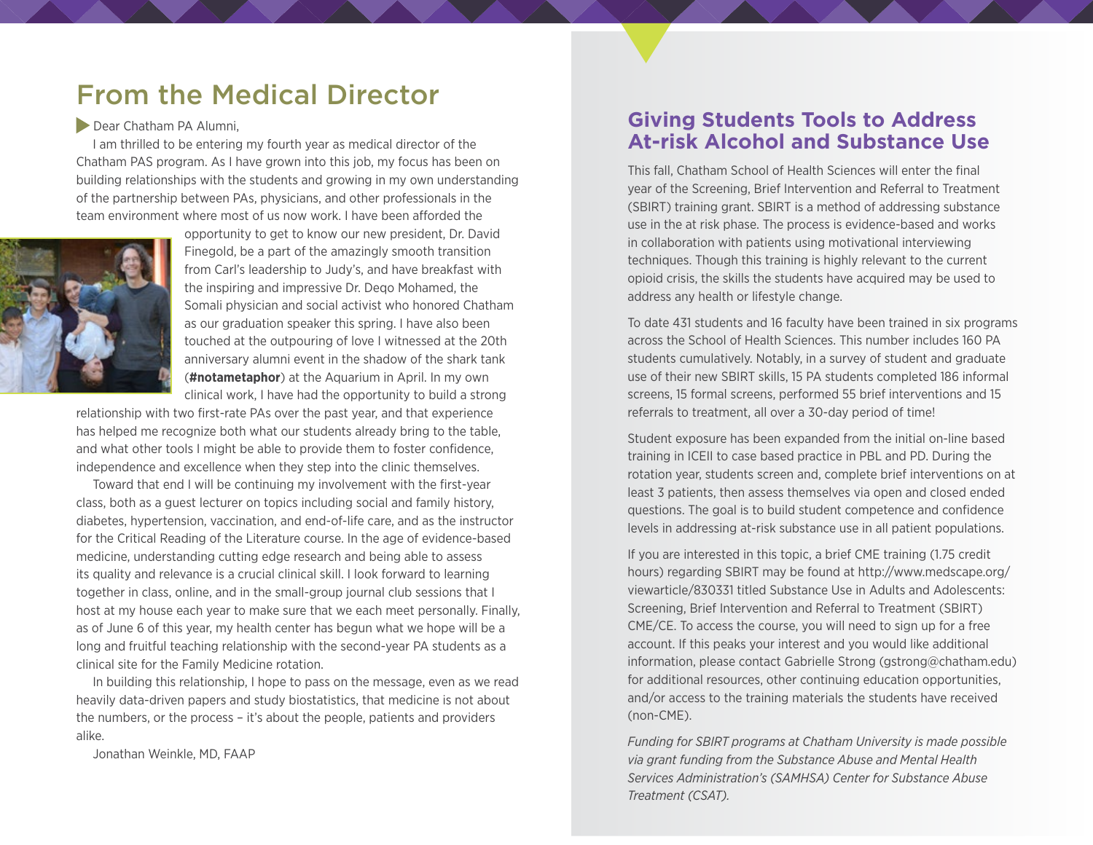# From the Medical Director

#### Dear Chatham PA Alumni,

I am thrilled to be entering my fourth year as medical director of the Chatham PAS program. As I have grown into this job, my focus has been on building relationships with the students and growing in my own understanding of the partnership between PAs, physicians, and other professionals in the team environment where most of us now work. I have been afforded the



opportunity to get to know our new president, Dr. David Finegold, be a part of the amazingly smooth transition from Carl's leadership to Judy's, and have breakfast with the inspiring and impressive Dr. Deqo Mohamed, the Somali physician and social activist who honored Chatham as our graduation speaker this spring. I have also been touched at the outpouring of love I witnessed at the 20th anniversary alumni event in the shadow of the shark tank (**#notametaphor**) at the Aquarium in April. In my own clinical work, I have had the opportunity to build a strong

relationship with two first-rate PAs over the past year, and that experience has helped me recognize both what our students already bring to the table, and what other tools I might be able to provide them to foster confidence, independence and excellence when they step into the clinic themselves.

Toward that end I will be continuing my involvement with the first-year class, both as a guest lecturer on topics including social and family history, diabetes, hypertension, vaccination, and end-of-life care, and as the instructor for the Critical Reading of the Literature course. In the age of evidence-based medicine, understanding cutting edge research and being able to assess its quality and relevance is a crucial clinical skill. I look forward to learning together in class, online, and in the small-group journal club sessions that I host at my house each year to make sure that we each meet personally. Finally, as of June 6 of this year, my health center has begun what we hope will be a long and fruitful teaching relationship with the second-year PA students as a clinical site for the Family Medicine rotation.

In building this relationship, I hope to pass on the message, even as we read heavily data-driven papers and study biostatistics, that medicine is not about the numbers, or the process – it's about the people, patients and providers alike.

Jonathan Weinkle, MD, FAAP

### **Giving Students Tools to Address At-risk Alcohol and Substance Use**

This fall, Chatham School of Health Sciences will enter the final year of the Screening, Brief Intervention and Referral to Treatment (SBIRT) training grant. SBIRT is a method of addressing substance use in the at risk phase. The process is evidence-based and works in collaboration with patients using motivational interviewing techniques. Though this training is highly relevant to the current opioid crisis, the skills the students have acquired may be used to address any health or lifestyle change.

To date 431 students and 16 faculty have been trained in six programs across the School of Health Sciences. This number includes 160 PA students cumulatively. Notably, in a survey of student and graduate use of their new SBIRT skills, 15 PA students completed 186 informal screens, 15 formal screens, performed 55 brief interventions and 15 referrals to treatment, all over a 30-day period of time!

Student exposure has been expanded from the initial on-line based training in ICEII to case based practice in PBL and PD. During the rotation year, students screen and, complete brief interventions on at least 3 patients, then assess themselves via open and closed ended questions. The goal is to build student competence and confidence levels in addressing at-risk substance use in all patient populations.

If you are interested in this topic, a brief CME training (1.75 credit hours) regarding SBIRT may be found at http://www.medscape.org/ viewarticle/830331 titled Substance Use in Adults and Adolescents: Screening, Brief Intervention and Referral to Treatment (SBIRT) CME/CE. To access the course, you will need to sign up for a free account. If this peaks your interest and you would like additional information, please contact Gabrielle Strong (gstrong@chatham.edu) for additional resources, other continuing education opportunities, and/or access to the training materials the students have received (non-CME).

*Funding for SBIRT programs at Chatham University is made possible via grant funding from the Substance Abuse and Mental Health Services Administration's (SAMHSA) Center for Substance Abuse Treatment (CSAT).*